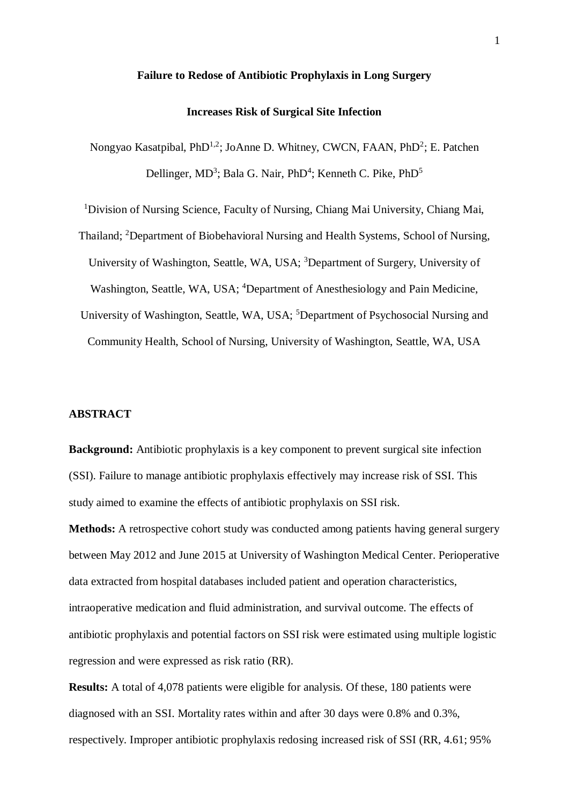## **Failure to Redose of Antibiotic Prophylaxis in Long Surgery**

## **Increases Risk of Surgical Site Infection**

Nongyao Kasatpibal, PhD<sup>1,2</sup>; JoAnne D. Whitney, CWCN, FAAN, PhD<sup>2</sup>; E. Patchen Dellinger, MD<sup>3</sup>; Bala G. Nair, PhD<sup>4</sup>; Kenneth C. Pike, PhD<sup>5</sup>

<sup>1</sup>Division of Nursing Science, Faculty of Nursing, Chiang Mai University, Chiang Mai, Thailand; <sup>2</sup>Department of Biobehavioral Nursing and Health Systems, School of Nursing, University of Washington, Seattle, WA, USA; <sup>3</sup>Department of Surgery, University of Washington, Seattle, WA, USA; <sup>4</sup>Department of Anesthesiology and Pain Medicine, University of Washington, Seattle, WA, USA; <sup>5</sup>Department of Psychosocial Nursing and Community Health, School of Nursing, University of Washington, Seattle, WA, USA

## **ABSTRACT**

**Background:** Antibiotic prophylaxis is a key component to prevent surgical site infection (SSI). Failure to manage antibiotic prophylaxis effectively may increase risk of SSI. This study aimed to examine the effects of antibiotic prophylaxis on SSI risk.

**Methods:** A retrospective cohort study was conducted among patients having general surgery between May 2012 and June 2015 at University of Washington Medical Center. Perioperative data extracted from hospital databases included patient and operation characteristics, intraoperative medication and fluid administration, and survival outcome. The effects of antibiotic prophylaxis and potential factors on SSI risk were estimated using multiple logistic regression and were expressed as risk ratio (RR).

**Results:** A total of 4,078 patients were eligible for analysis. Of these, 180 patients were diagnosed with an SSI. Mortality rates within and after 30 days were 0.8% and 0.3%, respectively. Improper antibiotic prophylaxis redosing increased risk of SSI (RR, 4.61; 95%